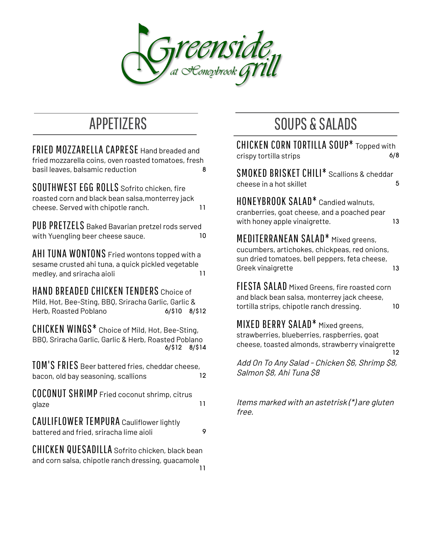

FRIED MOZZARELLA CAPRESE Hand breaded and fried mozzarella coins, oven roasted tomatoes, fresh basil leaves, balsamic reduction and the state of  $\sim$  8

SOUTHWEST EGG ROLLS Sofrito chicken, fire roasted corn and black bean salsa,monterrey jack cheese. Served with chipotle ranch. 11

PUB PRETZELS Baked Bavarian pretzel rods served with Yuengling beer cheese sauce. 10

AHI TUNA WONTONS Fried wontons topped with <sup>a</sup> sesame crusted ahi tuna, a quick pickled vegetable medley, and sriracha aioli 11

HAND BREADED CHICKEN TENDERS Choice of Mild, Hot, Bee-Sting, BBQ, Sriracha Garlic, Garlic & Herb, Roasted Poblano 6/\$10 8/\$12

CHICKEN WINGS\* Choice of Mild, Hot, Bee-Sting, BBQ, Sriracha Garlic, Garlic & Herb, Roasted Poblano 6/\$12 8/\$14

TOM'S FRIES Beer battered fries, cheddar cheese, bacon, old bay seasoning, scallions 12

COCONUT SHRIMP Fried coconut shrimp, citrus glaze the contract of the contract of the contract of the contract of the contract of the contract of the contract of the contract of the contract of the contract of the contract of the contract of the contract of the cont

CAULIFLOWER TEMPURA Cauliflower lightly battered and fried, sriracha lime aioli 9

CHICKEN QUESADILLA Sofrito chicken, black bean and corn salsa, chipotle ranch dressing, guacamole 11

## APPETIZERS SOUPS & SALADS

CHICKEN CORN TORTILLA SOUP\* Topped with crispy tortilla strips 6/8 SMOKED BRISKET CHILI\* Scallions & cheddar cheese in a hot skillet 5 HONEYBROOK SALAD\* Candied walnuts, cranberries, goat cheese, and a poached pear with honey apple vinaigrette. 13 MEDITERRANEAN SALAD\* Mixed greens, cucumbers, artichokes, chickpeas, red onions, sun dried tomatoes, bell peppers, feta cheese, Greek vinaigrette 13 FIESTA SALAD Mixed Greens, fire roasted corn and black bean salsa, monterrey jack cheese, tortilla strips, chipotle ranch dressing. 10 MIXED BERRY SALAD\* Mixed greens,

strawberries, blueberries, raspberries, goat cheese, toasted almonds, strawberry vinaigrette 12

Add On To Any Salad - Chicken \$6, Shrimp \$8, Salmon \$8, Ahi Tuna \$8

Items marked with an astetrisk (\*) are gluten free.